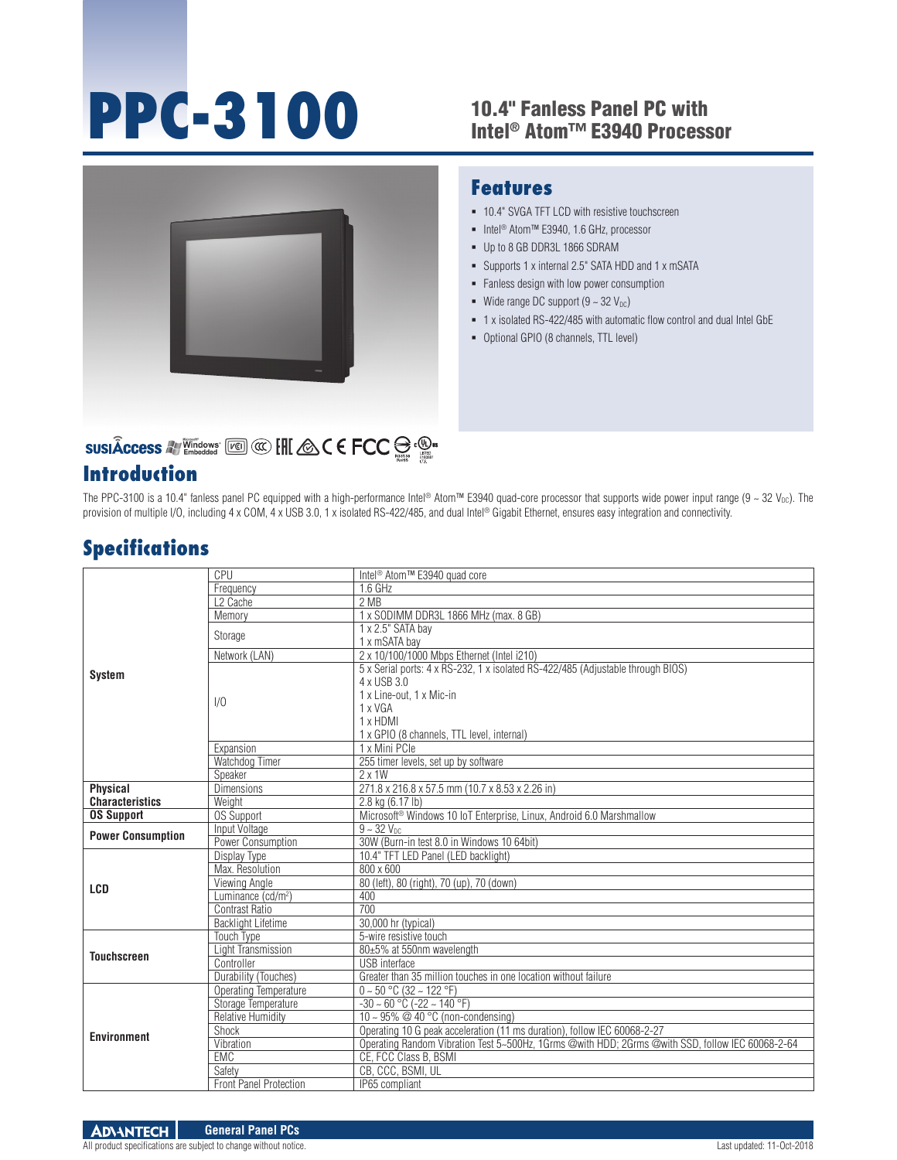# **PPC-3100**

#### 10.4" Fanless Panel PC with Intel® Atom™ E3940 Processor



# SUSIÂCCESS A VALLEY SUSIACCESS A VALLEY SUSIACCESS A VALUE

#### **Introduction**

### **Features**

- $-10.4$ " SVGA TFT LCD with resistive touchscreen
- Intel<sup>®</sup> Atom™ E3940, 1.6 GHz, processor
- Up to 8 GB DDR3L 1866 SDRAM
- Supports 1 x internal 2.5" SATA HDD and 1 x mSATA
- **Fanless design with low power consumption**
- Wide range DC support  $(9 \sim 32 \text{ V}_{\text{DC}})$
- 1 x isolated RS-422/485 with automatic flow control and dual Intel GbE
- Optional GPIO (8 channels, TTL level)

The PPC-3100 is a 10.4" fanless panel PC equipped with a high-performance Intel® Atom™ E3940 quad-core processor that supports wide power input range (9 ~ 32 V<sub>DC</sub>). The provision of multiple I/O, including 4 x COM, 4 x USB 3.0, 1 x isolated RS-422/485, and dual Intel® Gigabit Ethernet, ensures easy integration and connectivity.

### **Specifications**

|                          | CPU                            | Intel <sup>®</sup> Atom <sup>™</sup> E3940 quad core                                             |  |
|--------------------------|--------------------------------|--------------------------------------------------------------------------------------------------|--|
| <b>System</b>            | Frequency                      | $1.6$ GHz                                                                                        |  |
|                          | L <sub>2</sub> Cache           | 2 MB                                                                                             |  |
|                          | Memory                         | 1 x SODIMM DDR3L 1866 MHz (max. 8 GB)                                                            |  |
|                          | Storage                        | $1 \times 2.5$ " SATA bay                                                                        |  |
|                          |                                | 1 x mSATA bay                                                                                    |  |
|                          | Network (LAN)                  | 2 x 10/100/1000 Mbps Ethernet (Intel i210)                                                       |  |
|                          | 1/0                            | 5 x Serial ports: 4 x RS-232, 1 x isolated RS-422/485 (Adjustable through BIOS)                  |  |
|                          |                                | 4 x USB 3.0                                                                                      |  |
|                          |                                | 1 x Line-out. 1 x Mic-in                                                                         |  |
|                          |                                | 1 x VGA                                                                                          |  |
|                          |                                | 1 x HDMI                                                                                         |  |
|                          |                                | 1 x GPIO (8 channels, TTL level, internal)                                                       |  |
|                          | Expansion                      | 1 x Mini PCle                                                                                    |  |
|                          | Watchdog Timer                 | 255 timer levels, set up by software                                                             |  |
|                          | Speaker                        | $2 \times 1W$                                                                                    |  |
| <b>Physical</b>          | <b>Dimensions</b>              | 271.8 x 216.8 x 57.5 mm (10.7 x 8.53 x 2.26 in)                                                  |  |
| <b>Characteristics</b>   | Weight                         | 2.8 kg (6.17 lb)                                                                                 |  |
| <b>OS Support</b>        | <b>OS Support</b>              | Microsoft <sup>®</sup> Windows 10 IoT Enterprise, Linux, Android 6.0 Marshmallow                 |  |
| <b>Power Consumption</b> | Input Voltage                  | $9 - 32$ V <sub>nc</sub>                                                                         |  |
|                          | Power Consumption              | 30W (Burn-in test 8.0 in Windows 10 64bit)                                                       |  |
|                          | Display Type                   | 10.4" TFT LED Panel (LED backlight)                                                              |  |
|                          | Max. Resolution                | $800 \times 600$                                                                                 |  |
| <b>LCD</b>               | Viewing Angle                  | 80 (left), 80 (right), 70 (up), 70 (down)                                                        |  |
|                          | Luminance (cd/m <sup>2</sup> ) | 400                                                                                              |  |
|                          | <b>Contrast Ratio</b>          | $\overline{700}$                                                                                 |  |
|                          | <b>Backlight Lifetime</b>      | 30,000 hr (typical)                                                                              |  |
| <b>Touchscreen</b>       | <b>Touch Type</b>              | 5-wire resistive touch                                                                           |  |
|                          | Light Transmission             | 80±5% at 550nm wavelength                                                                        |  |
|                          | Controller                     | <b>USB</b> interface                                                                             |  |
|                          | Durability (Touches)           | Greater than 35 million touches in one location without failure                                  |  |
|                          | Operating Temperature          | $0 \sim 50$ °C (32 ~ 122 °F)                                                                     |  |
|                          | Storage Temperature            | $-30 \sim 60$ °C ( $-22 \sim 140$ °F)                                                            |  |
| <b>Environment</b>       | <b>Relative Humidity</b>       | 10 ~ 95% $@$ 40 °C (non-condensing)                                                              |  |
|                          | Shock                          | Operating 10 G peak acceleration (11 ms duration), follow IEC 60068-2-27                         |  |
|                          | Vibration                      | Operating Random Vibration Test 5~500Hz, 1Grms @with HDD; 2Grms @with SSD, follow IEC 60068-2-64 |  |
|                          | <b>EMC</b>                     | CE, FCC Class B, BSMI                                                                            |  |
|                          | Safety                         | CB, CCC, BSMI, UL                                                                                |  |
|                          | Front Panel Protection         | IP65 compliant                                                                                   |  |

All product specifications are subject to change without notice. Last updated: 11-Oct-2018